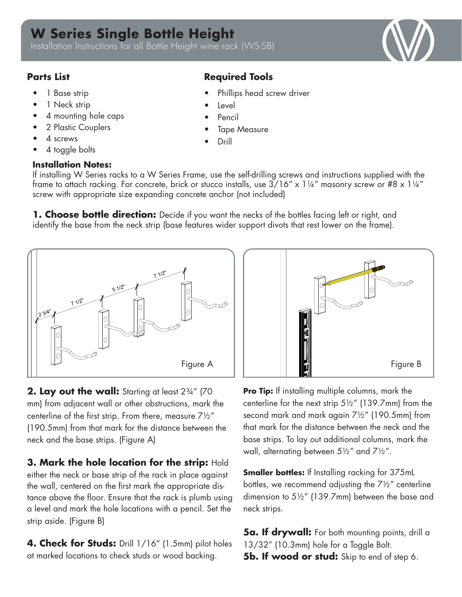## **W Series Single Bottle Height**

Installation Instructions for all Bottle Height wine rack (WS-SB)

- 1 Base strip
- 1 Neck strip
- 4 mounting hole caps
- 2 Plastic Couplers
- 4 screws
- 4 toggle bolts

## **Installation Notes:**

## **Parts List Required Tools**

- Phillips head screw driver
- **Level**
- Pencil
- **Tape Measure**
- Drill

If installing W Series racks to a W Series Frame, use the self-drilling screws and instructions supplied with the frame to attach racking. For concrete, brick or stucco installs, use  $3/16'' \times 1\frac{1}{4}''$  masonry screw or #8 x  $1\frac{1}{4}''$ screw with appropriate size expanding concrete anchor (not included)

**1. Choose bottle direction:** Decide if you want the necks of the bottles facing left or right, and identify the base from the neck strip (base features wider support divots that rest lower on the frame).



**2. Lay out the wall:** Starting at least 2¾" (70 mm) from adjacent wall or other obstructions, mark the centerline of the first strip. From there, measure 7½" (190.5mm) from that mark for the distance between the neck and the base strips. (Figure A)

**3. Mark the hole location for the strip:** Hold either the neck or base strip of the rack in place against the wall, centered on the first mark the appropriate distance above the floor. Ensure that the rack is plumb using a level and mark the hole locations with a pencil. Set the strip aside. (Figure B)

4. Check for Studs: Drill 1/16" (1.5mm) pilot holes at marked locations to check studs or wood backing.



**Pro Tip:** If installing multiple columns, mark the centerline for the next strip  $5\frac{1}{2}$ " (139.7mm) from the second mark and mark again  $7\frac{1}{2}$ " (190.5mm) from that mark for the distance between the neck and the base strips. To lay out additional columns, mark the wall, alternating between  $5\frac{1}{2}$  and  $7\frac{1}{2}$ ".

**Smaller bottles:** If Installing racking for 375mL bottles, we recommend adjusting the  $7\frac{1}{2}$ " centerline dimension to 5½" (139.7mm) between the base and neck strips.

**5a. If drywall:** For both mounting points, drill a 13/32" (10.3mm) hole for a Toggle Bolt. **5b. If wood or stud:** Skip to end of step 6.